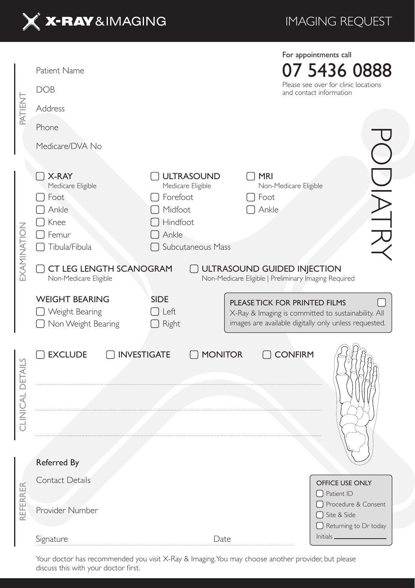

## IMAGING REQUEST

| PATIENT          | Patient Name<br><b>DOB</b>                                                                                                              |                                                                                                                    |                                                                                                                                               | For appointments call<br>07 5436 0888<br>Please see over for clinic locations<br>and contact information |  |  |  |
|------------------|-----------------------------------------------------------------------------------------------------------------------------------------|--------------------------------------------------------------------------------------------------------------------|-----------------------------------------------------------------------------------------------------------------------------------------------|----------------------------------------------------------------------------------------------------------|--|--|--|
|                  | Address                                                                                                                                 |                                                                                                                    |                                                                                                                                               |                                                                                                          |  |  |  |
|                  | Phone                                                                                                                                   |                                                                                                                    |                                                                                                                                               |                                                                                                          |  |  |  |
|                  | Medicare/DVA No                                                                                                                         |                                                                                                                    |                                                                                                                                               |                                                                                                          |  |  |  |
| EXAMINATION      | $\vert$ X-RAY<br>Medicare Eligible<br>Foot<br>Ankle<br>Knee<br>$\Box$ Femur<br>□ Tibula/Fibula                                          | [ ] ULTRASOUND<br>Medicare Eligible<br>[ ] Forefoot<br>Midfoot<br>Hindfoot<br>Ankle<br>Subcutaneous Mass<br>$\Box$ | $\Box$ Mri<br>Non-Medicare Eligible<br>] Foot<br>Ankle                                                                                        | DIATR                                                                                                    |  |  |  |
|                  | CT LEG LENGTH SCANOGRAM<br>ULTRASOUND GUIDED INJECTION<br>Non-Medicare Eligible<br>Non-Medicare Eligible   Preliminary Imaging Required |                                                                                                                    |                                                                                                                                               |                                                                                                          |  |  |  |
|                  | <b>WEIGHT BEARING</b><br>Weight Bearing<br>□ Non Weight Bearing                                                                         | <b>SIDE</b><br>$\Box$ Left<br>$\Box$ Right                                                                         | PLEASE TICK FOR PRINTED FILMS<br>X-Ray & Imaging is committed to sustainability. All<br>images are available digitally only unless requested. |                                                                                                          |  |  |  |
| CLINICAL DETAILS | <b>EXCLUDE</b>                                                                                                                          | INVESTIGATE<br>MONITOR                                                                                             | □ CONFIRM                                                                                                                                     |                                                                                                          |  |  |  |
|                  |                                                                                                                                         |                                                                                                                    |                                                                                                                                               |                                                                                                          |  |  |  |
| REFERRER         | Referred By                                                                                                                             |                                                                                                                    |                                                                                                                                               |                                                                                                          |  |  |  |
|                  | Contact Details                                                                                                                         |                                                                                                                    |                                                                                                                                               | OFFICE USE ONLY                                                                                          |  |  |  |
|                  | Provider Number                                                                                                                         |                                                                                                                    |                                                                                                                                               | $\bigcap$ Patient ID<br>□ Procedure & Consent<br>□ Site & Side<br>$\Box$ Returning to Dr today           |  |  |  |
|                  | Signature                                                                                                                               | Date                                                                                                               |                                                                                                                                               | Initials.                                                                                                |  |  |  |

Your doctor has recommended you visit X-Ray & Imaging. You may choose another provider, but please discuss this with your doctor first.